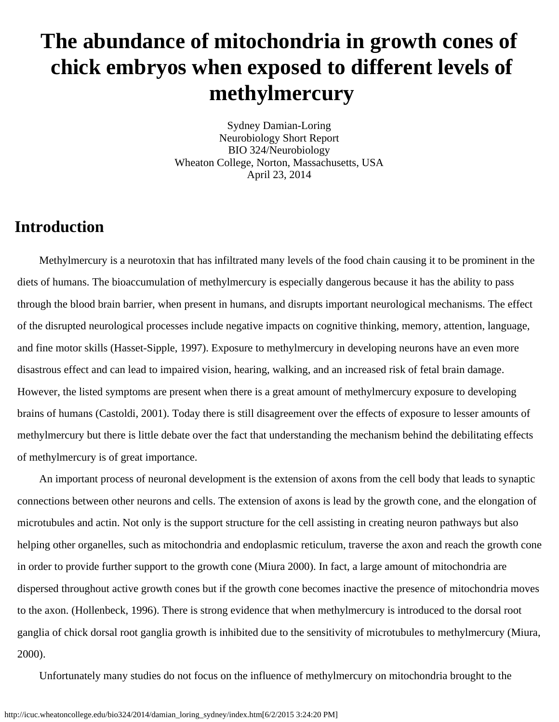# **The abundance of mitochondria in growth cones of chick embryos when exposed to different levels of methylmercury**

Sydney Damian-Loring Neurobiology Short Report BIO 324/Neurobiology Wheaton College, Norton, Massachusetts, USA April 23, 2014

# **Introduction**

 Methylmercury is a neurotoxin that has infiltrated many levels of the food chain causing it to be prominent in the diets of humans. The bioaccumulation of methylmercury is especially dangerous because it has the ability to pass through the blood brain barrier, when present in humans, and disrupts important neurological mechanisms. The effect of the disrupted neurological processes include negative impacts on cognitive thinking, memory, attention, language, and fine motor skills (Hasset-Sipple, 1997). Exposure to methylmercury in developing neurons have an even more disastrous effect and can lead to impaired vision, hearing, walking, and an increased risk of fetal brain damage. However, the listed symptoms are present when there is a great amount of methylmercury exposure to developing brains of humans (Castoldi, 2001). Today there is still disagreement over the effects of exposure to lesser amounts of methylmercury but there is little debate over the fact that understanding the mechanism behind the debilitating effects of methylmercury is of great importance.

 An important process of neuronal development is the extension of axons from the cell body that leads to synaptic connections between other neurons and cells. The extension of axons is lead by the growth cone, and the elongation of microtubules and actin. Not only is the support structure for the cell assisting in creating neuron pathways but also helping other organelles, such as mitochondria and endoplasmic reticulum, traverse the axon and reach the growth cone in order to provide further support to the growth cone (Miura 2000). In fact, a large amount of mitochondria are dispersed throughout active growth cones but if the growth cone becomes inactive the presence of mitochondria moves to the axon. (Hollenbeck, 1996). There is strong evidence that when methylmercury is introduced to the dorsal root ganglia of chick dorsal root ganglia growth is inhibited due to the sensitivity of microtubules to methylmercury (Miura, 2000).

Unfortunately many studies do not focus on the influence of methylmercury on mitochondria brought to the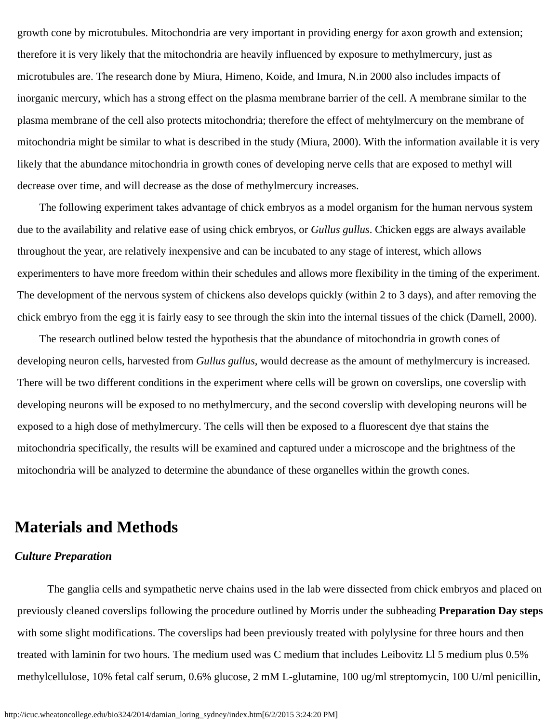growth cone by microtubules. Mitochondria are very important in providing energy for axon growth and extension; therefore it is very likely that the mitochondria are heavily influenced by exposure to methylmercury, just as microtubules are. The research done by Miura, Himeno, Koide, and Imura, N.in 2000 also includes impacts of inorganic mercury, which has a strong effect on the plasma membrane barrier of the cell. A membrane similar to the plasma membrane of the cell also protects mitochondria; therefore the effect of mehtylmercury on the membrane of mitochondria might be similar to what is described in the study (Miura, 2000). With the information available it is very likely that the abundance mitochondria in growth cones of developing nerve cells that are exposed to methyl will decrease over time, and will decrease as the dose of methylmercury increases.

 The following experiment takes advantage of chick embryos as a model organism for the human nervous system due to the availability and relative ease of using chick embryos, or *Gullus gullus*. Chicken eggs are always available throughout the year, are relatively inexpensive and can be incubated to any stage of interest, which allows experimenters to have more freedom within their schedules and allows more flexibility in the timing of the experiment. The development of the nervous system of chickens also develops quickly (within 2 to 3 days), and after removing the chick embryo from the egg it is fairly easy to see through the skin into the internal tissues of the chick (Darnell, 2000).

 The research outlined below tested the hypothesis that the abundance of mitochondria in growth cones of developing neuron cells, harvested from *Gullus gullus,* would decrease as the amount of methylmercury is increased. There will be two different conditions in the experiment where cells will be grown on coverslips, one coverslip with developing neurons will be exposed to no methylmercury, and the second coverslip with developing neurons will be exposed to a high dose of methylmercury. The cells will then be exposed to a fluorescent dye that stains the mitochondria specifically, the results will be examined and captured under a microscope and the brightness of the mitochondria will be analyzed to determine the abundance of these organelles within the growth cones.

## **Materials and Methods**

### *Culture Preparation*

The ganglia cells and sympathetic nerve chains used in the lab were dissected from chick embryos and placed on previously cleaned coverslips following the procedure outlined by Morris under the subheading **Preparation Day steps** with some slight modifications. The coverslips had been previously treated with polylysine for three hours and then treated with laminin for two hours. The medium used was C medium that includes Leibovitz Ll 5 medium plus 0.5% methylcellulose, 10% fetal calf serum, 0.6% glucose, 2 mM L-glutamine, 100 ug/ml streptomycin, 100 U/ml penicillin,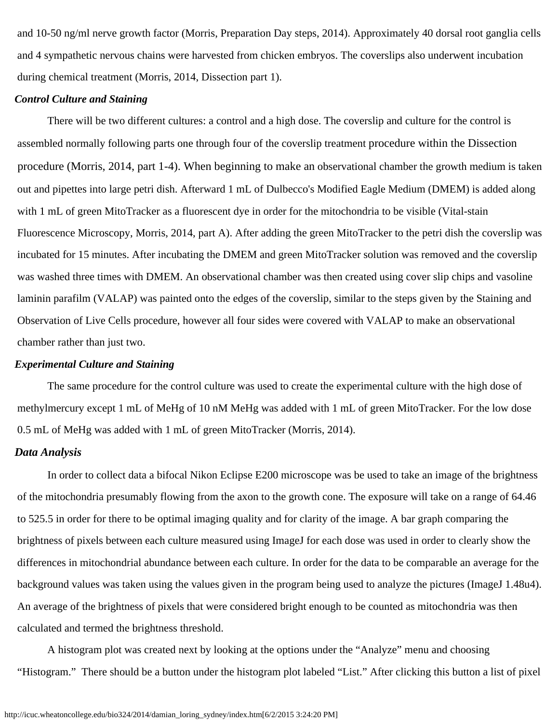and 10-50 ng/ml nerve growth factor (Morris, Preparation Day steps, 2014). Approximately 40 dorsal root ganglia cells and 4 sympathetic nervous chains were harvested from chicken embryos. The coverslips also underwent incubation during chemical treatment (Morris, 2014, Dissection part 1).

#### *Control Culture and Staining*

There will be two different cultures: a control and a high dose. The coverslip and culture for the control is assembled normally following parts one through four of the coverslip treatment procedure within the Dissection procedure (Morris, 2014, part 1-4). When beginning to make an observational chamber the growth medium is taken out and pipettes into large petri dish. Afterward 1 mL of Dulbecco's Modified Eagle Medium (DMEM) is added along with 1 mL of green MitoTracker as a fluorescent dye in order for the mitochondria to be visible (Vital-stain Fluorescence Microscopy, Morris, 2014, part A). After adding the green MitoTracker to the petri dish the coverslip was incubated for 15 minutes. After incubating the DMEM and green MitoTracker solution was removed and the coverslip was washed three times with DMEM. An observational chamber was then created using cover slip chips and vasoline laminin parafilm (VALAP) was painted onto the edges of the coverslip, similar to the steps given by the Staining and Observation of Live Cells procedure, however all four sides were covered with VALAP to make an observational chamber rather than just two.

#### *Experimental Culture and Staining*

The same procedure for the control culture was used to create the experimental culture with the high dose of methylmercury except 1 mL of MeHg of 10 nM MeHg was added with 1 mL of green MitoTracker. For the low dose 0.5 mL of MeHg was added with 1 mL of green MitoTracker (Morris, 2014).

#### *Data Analysis*

In order to collect data a bifocal Nikon Eclipse E200 microscope was be used to take an image of the brightness of the mitochondria presumably flowing from the axon to the growth cone. The exposure will take on a range of 64.46 to 525.5 in order for there to be optimal imaging quality and for clarity of the image. A bar graph comparing the brightness of pixels between each culture measured using ImageJ for each dose was used in order to clearly show the differences in mitochondrial abundance between each culture. In order for the data to be comparable an average for the background values was taken using the values given in the program being used to analyze the pictures (ImageJ 1.48u4). An average of the brightness of pixels that were considered bright enough to be counted as mitochondria was then calculated and termed the brightness threshold.

A histogram plot was created next by looking at the options under the "Analyze" menu and choosing "Histogram." There should be a button under the histogram plot labeled "List." After clicking this button a list of pixel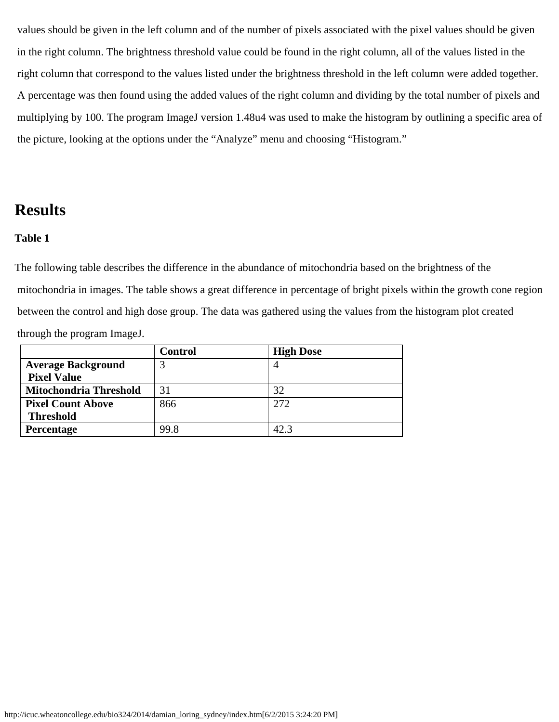values should be given in the left column and of the number of pixels associated with the pixel values should be given in the right column. The brightness threshold value could be found in the right column, all of the values listed in the right column that correspond to the values listed under the brightness threshold in the left column were added together. A percentage was then found using the added values of the right column and dividing by the total number of pixels and multiplying by 100. The program ImageJ version 1.48u4 was used to make the histogram by outlining a specific area of the picture, looking at the options under the "Analyze" menu and choosing "Histogram."

## **Results**

### **Table 1**

The following table describes the difference in the abundance of mitochondria based on the brightness of the mitochondria in images. The table shows a great difference in percentage of bright pixels within the growth cone region between the control and high dose group. The data was gathered using the values from the histogram plot created through the program ImageJ.

|                               | Control | <b>High Dose</b> |
|-------------------------------|---------|------------------|
| <b>Average Background</b>     |         |                  |
| <b>Pixel Value</b>            |         |                  |
| <b>Mitochondria Threshold</b> | 31      | 32               |
| <b>Pixel Count Above</b>      | 866     | 2.72             |
| <b>Threshold</b>              |         |                  |
| <b>Percentage</b>             | 99.8    | 42.3             |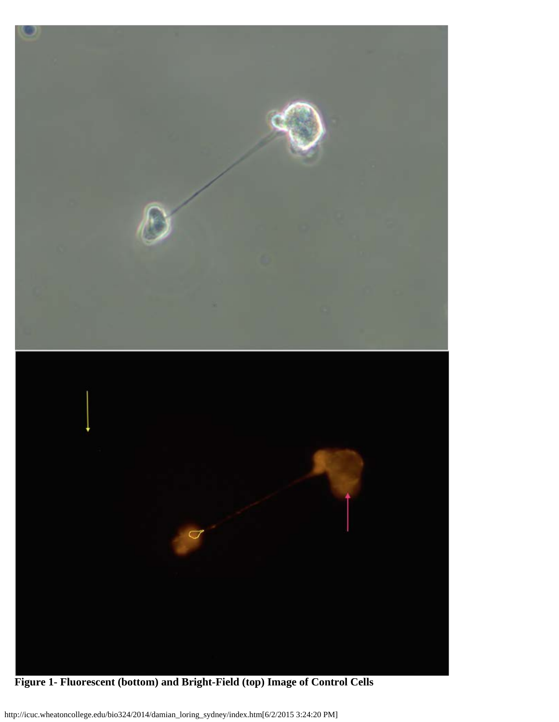

**Figure 1- Fluorescent (bottom) and Bright-Field (top) Image of Control Cells**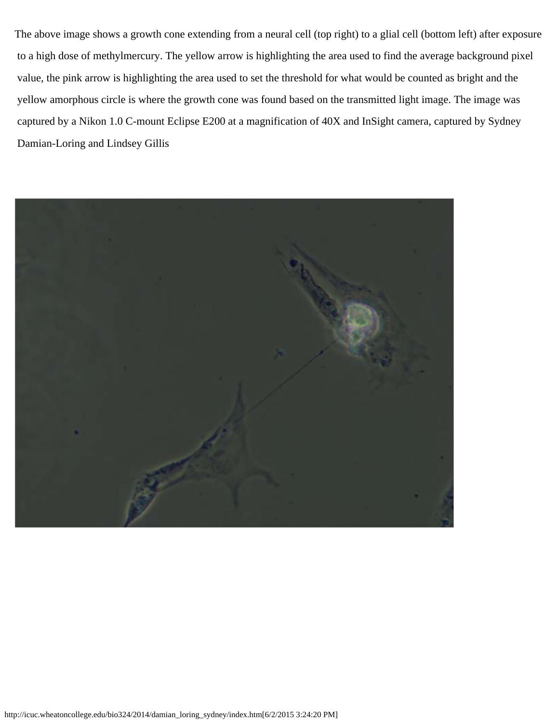The above image shows a growth cone extending from a neural cell (top right) to a glial cell (bottom left) after exposure to a high dose of methylmercury. The yellow arrow is highlighting the area used to find the average background pixel value, the pink arrow is highlighting the area used to set the threshold for what would be counted as bright and the yellow amorphous circle is where the growth cone was found based on the transmitted light image. The image was captured by a Nikon 1.0 C-mount Eclipse E200 at a magnification of 40X and InSight camera, captured by Sydney Damian-Loring and Lindsey Gillis

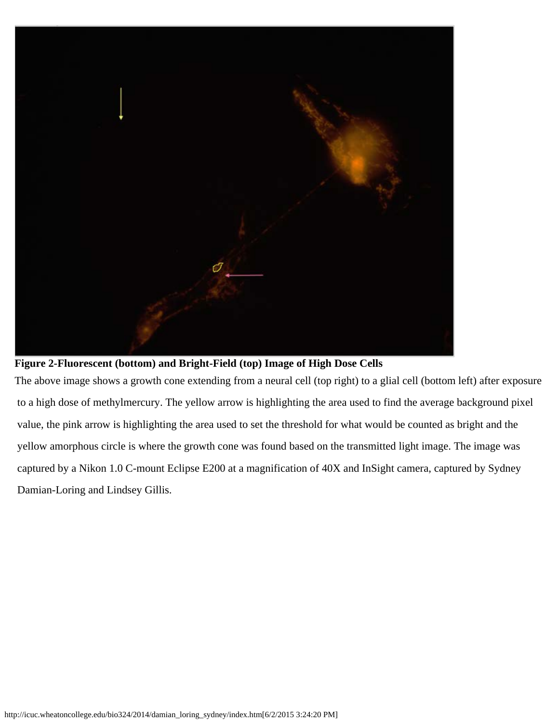

**Figure 2-Fluorescent (bottom) and Bright-Field (top) Image of High Dose Cells**

The above image shows a growth cone extending from a neural cell (top right) to a glial cell (bottom left) after exposure to a high dose of methylmercury. The yellow arrow is highlighting the area used to find the average background pixel value, the pink arrow is highlighting the area used to set the threshold for what would be counted as bright and the yellow amorphous circle is where the growth cone was found based on the transmitted light image. The image was captured by a Nikon 1.0 C-mount Eclipse E200 at a magnification of 40X and InSight camera, captured by Sydney Damian-Loring and Lindsey Gillis.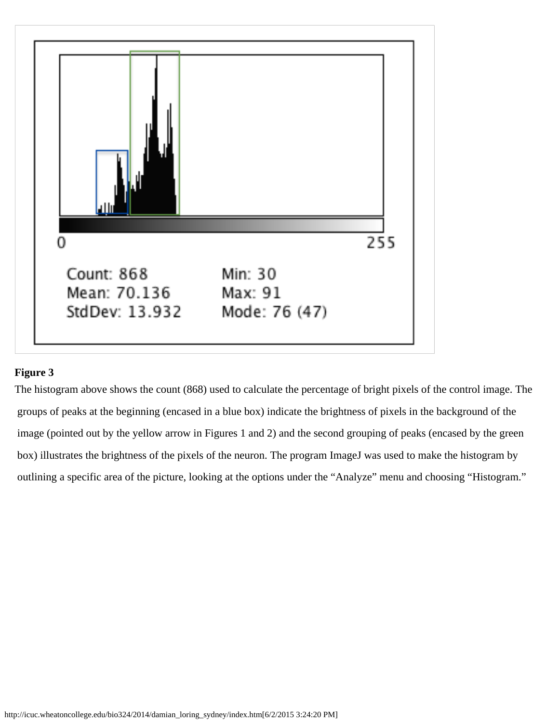

### **Figure 3**

The histogram above shows the count (868) used to calculate the percentage of bright pixels of the control image. The groups of peaks at the beginning (encased in a blue box) indicate the brightness of pixels in the background of the image (pointed out by the yellow arrow in Figures 1 and 2) and the second grouping of peaks (encased by the green box) illustrates the brightness of the pixels of the neuron. The program ImageJ was used to make the histogram by outlining a specific area of the picture, looking at the options under the "Analyze" menu and choosing "Histogram."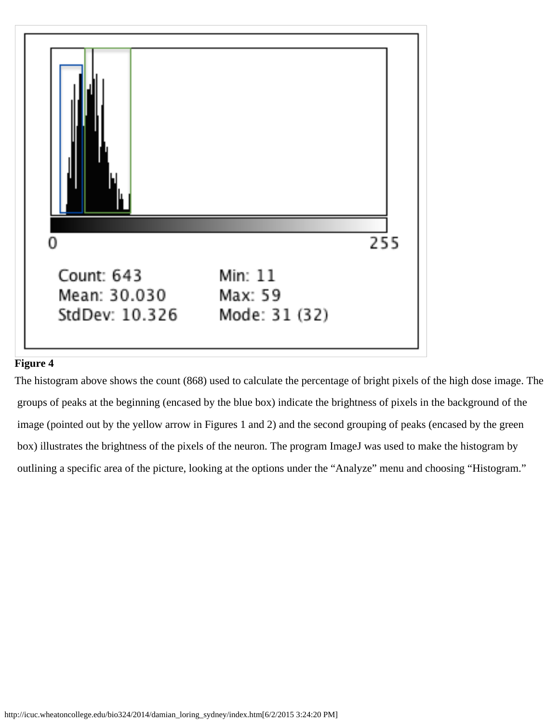

### **Figure 4**

The histogram above shows the count (868) used to calculate the percentage of bright pixels of the high dose image. The groups of peaks at the beginning (encased by the blue box) indicate the brightness of pixels in the background of the image (pointed out by the yellow arrow in Figures 1 and 2) and the second grouping of peaks (encased by the green box) illustrates the brightness of the pixels of the neuron. The program ImageJ was used to make the histogram by outlining a specific area of the picture, looking at the options under the "Analyze" menu and choosing "Histogram."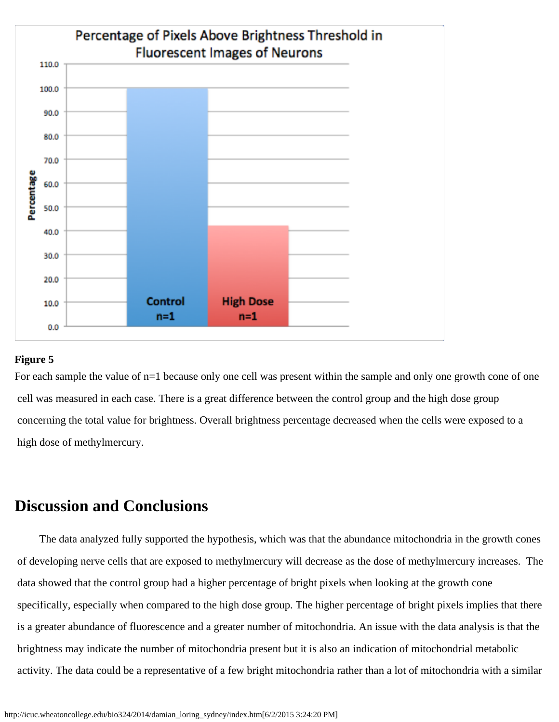

#### **Figure 5**

For each sample the value of  $n=1$  because only one cell was present within the sample and only one growth cone of one cell was measured in each case. There is a great difference between the control group and the high dose group concerning the total value for brightness. Overall brightness percentage decreased when the cells were exposed to a high dose of methylmercury.

# **Discussion and Conclusions**

 The data analyzed fully supported the hypothesis, which was that the abundance mitochondria in the growth cones of developing nerve cells that are exposed to methylmercury will decrease as the dose of methylmercury increases. The data showed that the control group had a higher percentage of bright pixels when looking at the growth cone specifically, especially when compared to the high dose group. The higher percentage of bright pixels implies that there is a greater abundance of fluorescence and a greater number of mitochondria. An issue with the data analysis is that the brightness may indicate the number of mitochondria present but it is also an indication of mitochondrial metabolic activity. The data could be a representative of a few bright mitochondria rather than a lot of mitochondria with a similar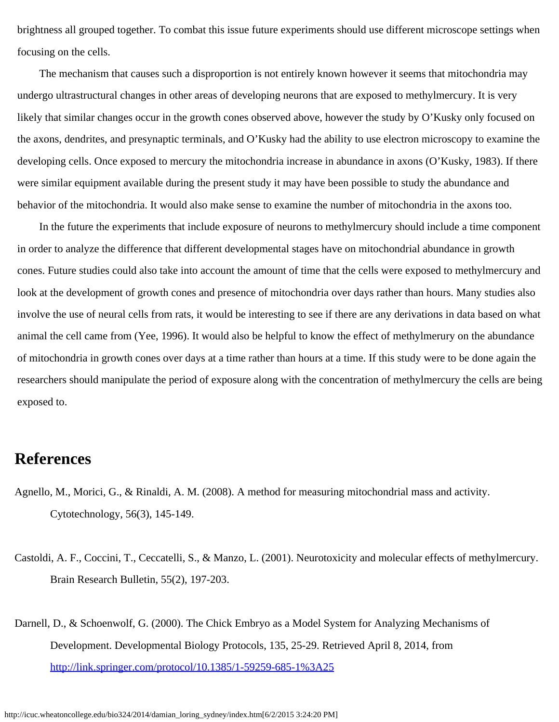brightness all grouped together. To combat this issue future experiments should use different microscope settings when focusing on the cells.

 The mechanism that causes such a disproportion is not entirely known however it seems that mitochondria may undergo ultrastructural changes in other areas of developing neurons that are exposed to methylmercury. It is very likely that similar changes occur in the growth cones observed above, however the study by O'Kusky only focused on the axons, dendrites, and presynaptic terminals, and O'Kusky had the ability to use electron microscopy to examine the developing cells. Once exposed to mercury the mitochondria increase in abundance in axons (O'Kusky, 1983). If there were similar equipment available during the present study it may have been possible to study the abundance and behavior of the mitochondria. It would also make sense to examine the number of mitochondria in the axons too.

 In the future the experiments that include exposure of neurons to methylmercury should include a time component in order to analyze the difference that different developmental stages have on mitochondrial abundance in growth cones. Future studies could also take into account the amount of time that the cells were exposed to methylmercury and look at the development of growth cones and presence of mitochondria over days rather than hours. Many studies also involve the use of neural cells from rats, it would be interesting to see if there are any derivations in data based on what animal the cell came from (Yee, 1996). It would also be helpful to know the effect of methylmerury on the abundance of mitochondria in growth cones over days at a time rather than hours at a time. If this study were to be done again the researchers should manipulate the period of exposure along with the concentration of methylmercury the cells are being exposed to.

# **References**

- Agnello, M., Morici, G., & Rinaldi, A. M. (2008). A method for measuring mitochondrial mass and activity. Cytotechnology, 56(3), 145-149.
- Castoldi, A. F., Coccini, T., Ceccatelli, S., & Manzo, L. (2001). Neurotoxicity and molecular effects of methylmercury. Brain Research Bulletin, 55(2), 197-203.
- Darnell, D., & Schoenwolf, G. (2000). The Chick Embryo as a Model System for Analyzing Mechanisms of Development. Developmental Biology Protocols, 135, 25-29. Retrieved April 8, 2014, from <http://link.springer.com/protocol/10.1385/1-59259-685-1%3A25>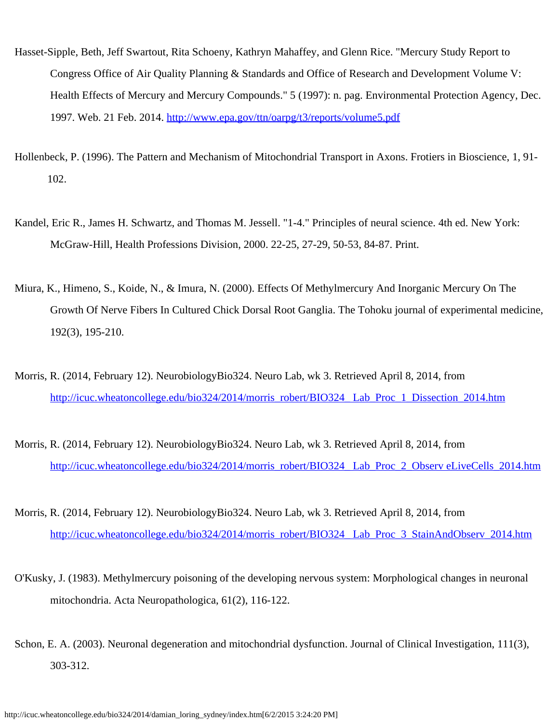- Hasset-Sipple, Beth, Jeff Swartout, Rita Schoeny, Kathryn Mahaffey, and Glenn Rice. "Mercury Study Report to Congress Office of Air Quality Planning & Standards and Office of Research and Development Volume V: Health Effects of Mercury and Mercury Compounds." 5 (1997): n. pag. Environmental Protection Agency, Dec. 1997. Web. 21 Feb. 2014. <http://www.epa.gov/ttn/oarpg/t3/reports/volume5.pdf>
- Hollenbeck, P. (1996). The Pattern and Mechanism of Mitochondrial Transport in Axons. Frotiers in Bioscience, 1, 91- 102.
- Kandel, Eric R., James H. Schwartz, and Thomas M. Jessell. "1-4." Principles of neural science. 4th ed. New York: McGraw-Hill, Health Professions Division, 2000. 22-25, 27-29, 50-53, 84-87. Print.
- Miura, K., Himeno, S., Koide, N., & Imura, N. (2000). Effects Of Methylmercury And Inorganic Mercury On The Growth Of Nerve Fibers In Cultured Chick Dorsal Root Ganglia. The Tohoku journal of experimental medicine, 192(3), 195-210.
- Morris, R. (2014, February 12). NeurobiologyBio324. Neuro Lab, wk 3. Retrieved April 8, 2014, from [http://icuc.wheatoncollege.edu/bio324/2014/morris\\_robert/BIO324\\_](http://icuc.wheatoncollege.edu/bio324/2014/morris_robert/BIO324_%20Lab_Proc_1_Dissection_2014.htm) Lab\_Proc\_1\_Dissection\_2014.htm
- Morris, R. (2014, February 12). NeurobiologyBio324. Neuro Lab, wk 3. Retrieved April 8, 2014, from [http://icuc.wheatoncollege.edu/bio324/2014/morris\\_robert/BIO324\\_](http://icuc.wheatoncollege.edu/bio324/2014/morris_robert/BIO324_%20Lab_Proc_2_Observ%20eLiveCells_2014.htm)Lab\_Proc\_2\_Observ eLiveCells\_2014.htm
- Morris, R. (2014, February 12). NeurobiologyBio324. Neuro Lab, wk 3. Retrieved April 8, 2014, from [http://icuc.wheatoncollege.edu/bio324/2014/morris\\_robert/BIO324\\_](http://icuc.wheatoncollege.edu/bio324/2014/morris_robert/BIO324_%20Lab_Proc_3_StainAndObserv_2014.htm)Lab\_Proc\_3\_StainAndObserv\_2014.htm
- O'Kusky, J. (1983). Methylmercury poisoning of the developing nervous system: Morphological changes in neuronal mitochondria. Acta Neuropathologica, 61(2), 116-122.
- Schon, E. A. (2003). Neuronal degeneration and mitochondrial dysfunction. Journal of Clinical Investigation, 111(3), 303-312.